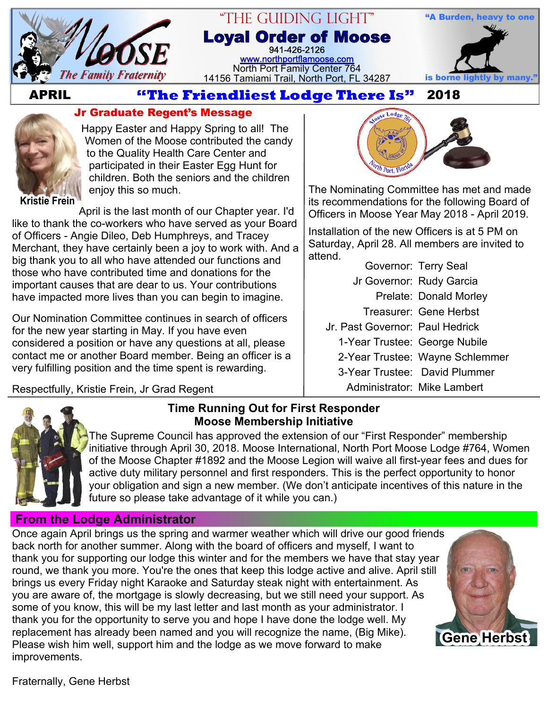

#### "The Guiding Light" **Loyal Order of Moose** 941-426-2126 [www.northportflamoose.com](http://www.northportflamoose.com) North Port Family Center 764 14156 Tamiami Trail, North Port, FL 34287



# **APRIL 2018**



## **Jr Graduate Regent's Message**

Happy Easter and Happy Spring to all! The Women of the Moose contributed the candy to the Quality Health Care Center and participated in their Easter Egg Hunt for children. Both the seniors and the children enjoy this so much.

**Kristie Frein**

April is the last month of our Chapter year. I'd like to thank the co-workers who have served as your Board of Officers - Angie Dileo, Deb Humphreys, and Tracey Merchant, they have certainly been a joy to work with. And a big thank you to all who have attended our functions and those who have contributed time and donations for the important causes that are dear to us. Your contributions have impacted more lives than you can begin to imagine.

Our Nomination Committee continues in search of officers for the new year starting in May. If you have even considered a position or have any questions at all, please contact me or another Board member. Being an officer is a very fulfilling position and the time spent is rewarding.

Respectfully, Kristie Frein, Jr Grad Regent



The Nominating Committee has met and made its recommendations for the following Board of Officers in Moose Year May 2018 - April 2019.

Installation of the new Officers is at 5 PM on Saturday, April 28. All members are invited to attend.

Governor: Terry Seal

- Jr Governor: Rudy Garcia
	- Prelate: Donald Morley
	- Treasurer: Gene Herbst
- Jr. Past Governor: Paul Hedrick
	- 1-Year Trustee: George Nubile
	- 2-Year Trustee: Wayne Schlemmer
	- 3-Year Trustee: David Plummer
		- Administrator: Mike Lambert



#### **Time Running Out for First Responder Moose Membership Initiative**

The Supreme Council has approved the extension of our "First Responder" membership initiative through April 30, 2018. Moose International, North Port Moose Lodge #764, Women of the Moose Chapter #1892 and the Moose Legion will waive all first-year fees and dues for active duty military personnel and first responders. This is the perfect opportunity to honor your obligation and sign a new member. (We don't anticipate incentives of this nature in the future so please take advantage of it while you can.)

## **From the Lodge Administrator**

Once again April brings us the spring and warmer weather which will drive our good friends back north for another summer. Along with the board of officers and myself, I want to thank you for supporting our lodge this winter and for the members we have that stay year round, we thank you more. You're the ones that keep this lodge active and alive. April still brings us every Friday night Karaoke and Saturday steak night with entertainment. As you are aware of, the mortgage is slowly decreasing, but we still need your support. As some of you know, this will be my last letter and last month as your administrator. I thank you for the opportunity to serve you and hope I have done the lodge well. My replacement has already been named and you will recognize the name, (Big Mike). Please wish him well, support him and the lodge as we move forward to make improvements. **Gene Herbst**

Fraternally, Gene Herbst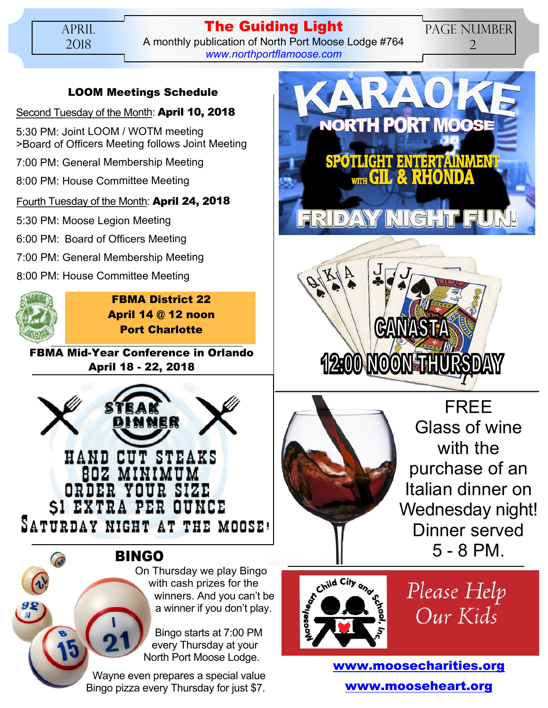## **The Guiding Light** A monthly publication of North Port Moose Lodge #764 *[www.northportflamoose.com](http://www.northportflamoose.com)*

## PAGE NUMBER 2

## **LOOM Meetings Schedule**

#### Second Tuesday of the Month: **April 10, 2018**

5:30 PM: Joint LOOM / WOTM meeting >Board of Officers Meeting follows Joint Meeting

7:00 PM: General Membership Meeting

8:00 PM: House Committee Meeting

## Fourth Tuesday of the Month: **April 24, 2018**

5:30 PM: Moose Legion Meeting

6:00 PM: Board of Officers Meeting

- 7:00 PM: General Membership Meeting
- 8:00 PM: House Committee Meeting



**FBMA District 22 April 14 @ 12 noon Port Charlotte**

**FBMA Mid-Year Conference in Orlando April 18 - 22, 2018**



**BINGO**

On Thursday we play Bingo with cash prizes for the winners. And you can't be a winner if you don't play.

Bingo starts at 7:00 PM every Thursday at your North Port Moose Lodge.

Wayne even prepares a special value Bingo pizza every Thursday for just \$7.







FREE Glass of wine with the purchase of an Italian dinner on Wednesday night! Dinner served 5 - 8 PM.



Please Help Our Kids

**[www.moosecharities.org](http://www.moosecharities.org) [www.mooseheart.org](http://www.mooseheart.org)**